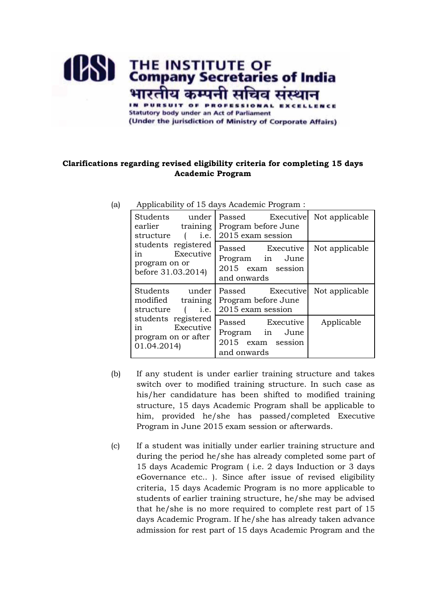

## **Clarifications regarding revised eligibility criteria for completing 15 days Academic Program**

| Students<br>under<br>earlier<br>training<br>structure<br><i>i.e.</i><br>$\sqrt{2}$<br>students registered<br>in Executive<br>program on or<br>before 31.03.2014) | Passed Executive<br>Program before June<br>2015 exam session            | Not applicable |
|------------------------------------------------------------------------------------------------------------------------------------------------------------------|-------------------------------------------------------------------------|----------------|
|                                                                                                                                                                  | Passed Executive<br>Program in June<br>2015 exam session<br>and onwards | Not applicable |
| Students<br>under<br>modified training<br>$\sim$ 1<br>structure<br>i.e.                                                                                          | Passed Executive<br>Program before June<br>2015 exam session            | Not applicable |
| students registered<br>Executive<br>$1n \quad \ldots$<br>program on or after<br>01.04.2014)                                                                      | Passed Executive<br>Program in June<br>2015 exam session<br>and onwards | Applicable     |

(a) Applicability of 15 days Academic Program :

- (b) If any student is under earlier training structure and takes switch over to modified training structure. In such case as his/her candidature has been shifted to modified training structure, 15 days Academic Program shall be applicable to him, provided he/she has passed/completed Executive Program in June 2015 exam session or afterwards.
- (c) If a student was initially under earlier training structure and during the period he/she has already completed some part of 15 days Academic Program ( i.e. 2 days Induction or 3 days eGovernance etc.. ). Since after issue of revised eligibility criteria, 15 days Academic Program is no more applicable to students of earlier training structure, he/she may be advised that he/she is no more required to complete rest part of 15 days Academic Program. If he/she has already taken advance admission for rest part of 15 days Academic Program and the